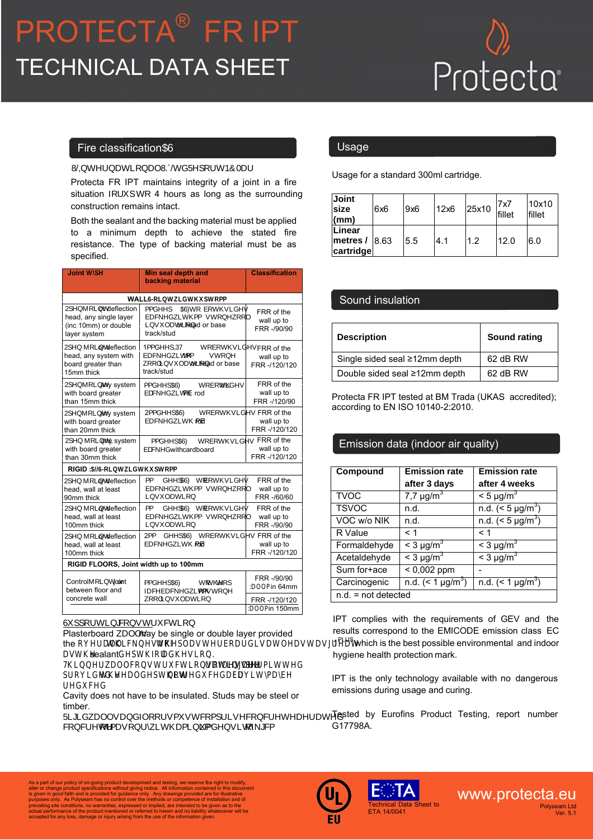## PROTECTA® FR IPT TECHNICAL DATA SHEET

# Protecta

#### Fire classification AS1530.4-2014

Protecta FR IPT maintains integrity of a joint in a fire situation for up to 4 hours as long as the surrounding construction remains intact. L nternational Ltd eport 14 45 - 4 ar 01

Both the sealant and the backing material must be applied to a minimum depth to achieve the stated fire resistance. The type of backing material must be as specified.

| <b>Joint WSH</b><br><b>Vertical or Horizontal</b>                                                      | <b>Min seal depth and</b><br>backing material                                                            | <b>Classification</b>                     |  |  |  |
|--------------------------------------------------------------------------------------------------------|----------------------------------------------------------------------------------------------------------|-------------------------------------------|--|--|--|
| PLASTERBOARD WALL6RLWZGWKSWRPP                                                                         |                                                                                                          |                                           |  |  |  |
| 2SMRLW or deflection<br>head, any single layer<br>(inc 10mm) or double<br>layer system                 | 9mm deep<br>F to both sides<br>backed with 20mm stone wool<br>insulation or head or base<br>track/stud   | FRR of the<br>wall up to<br>FRR -/90/90   |  |  |  |
| int or deflection<br>n<br>head, any system with<br>board greater than<br>12 5mm thick                  | 1.5mm deep PT to both sides<br>backed with 1 .5mm stone<br>wool insulation or head or base<br>track/stud | FRR of the<br>wall up to<br>FRR -/120/120 |  |  |  |
| pen joint, any system<br>with board greater<br>than 15mm thick                                         | 1 mm dee<br>to both ide<br>backed with PE rod                                                            | FRR of the<br>wall up to<br>FRR -/120/90  |  |  |  |
| en oint, any system<br>with board greater<br>than 20mm thick                                           | 20mm dee F to both sides<br>backed with PE rod                                                           | FRR of the<br>wall up to<br>FRR -/120/120 |  |  |  |
| Open joint, any system<br>with board greater<br>than 30mm thick                                        | '\$a a Xeed AS: to Vot \ giXeg<br>Vac eX with cardboard                                                  | FRR of the<br>wall up to<br>FRR -/120/120 |  |  |  |
| <b>RIGID \$6RLWEGWKSWRPP</b>                                                                           |                                                                                                          |                                           |  |  |  |
| Open joint or deflection<br>head, wall at least<br>90mm thick                                          | F to both sides<br>9mm deep<br>backed with 20mm stone wool<br>insulation                                 | FRR of the<br>wall up to<br>FRR -/60/60   |  |  |  |
| pen oint or deflection<br>head, wall at least<br>100mm thick                                           | F to both sides<br>9mm deep<br>backed with 20mm stone wool<br>insulation                                 | FRR of the<br>wall up to<br>FRR -/90/90   |  |  |  |
| Open joint or deflection<br>head, wall at least<br>100mm thick                                         | 20mm dee F to both sides<br>backed with PE rod                                                           | FRR of the<br>wall up to<br>FRR -/120/120 |  |  |  |
| RIGID FLOORS, Joint width up to 100mm                                                                  |                                                                                                          |                                           |  |  |  |
| Control joint or joint<br>25mm deep ASF to the top<br>between floor and<br>face backed with 25mm stone |                                                                                                          | FRR -/90/90<br>min 64mm                   |  |  |  |
| concrete wall                                                                                          | wool insulation                                                                                          | FRR -/120/120<br>min 150mm                |  |  |  |

u orting construction

Plasterboard walls may be single or double layer provided the overall thickness of the plasterboard is at least as great as the sealant depth (for adhesion).

Thinner wall constructions of lesser rating are permitted provided the seal depth is not reduced (air cavity may be reduced).

Cavity does not have to be insulated. Studs may be steel or timber.

Rigid walls and floors must comprise concrete, aerated concrete or masonry, with a minimum density of 650 kg/cm.

Usage for a standard 300ml cartridge.

| <b>Joint</b><br><b>size</b><br>(mm)            | 6x6 | 9x6 | 12x6 | 25x10 | 17x7<br>fillet | 10x10<br>fillet |
|------------------------------------------------|-----|-----|------|-------|----------------|-----------------|
| <b>ILinear</b><br>metres $/$ 8.63<br>cartridge |     | 5.5 | 4.1  | 1.2   | 12.0           | 6.0             |

#### Sound insulation

| <b>Description</b>            | Sound rating |
|-------------------------------|--------------|
| Single sided seal ≥12mm depth | 62 dB RW     |
| Double sided seal ≥12mm depth | 62 dB RW     |

Protecta FR IPT tested at BM Trada (UKAS accredited); according to EN ISO 10140-2:2010.

### Emission data (indoor air quality)

| Compound              | <b>Emission rate</b>    | <b>Emission rate</b>    |
|-----------------------|-------------------------|-------------------------|
|                       | after 3 days            | after 4 weeks           |
| <b>TVOC</b>           | $7.7 \mu g/m^3$         | $<$ 5 µg/m <sup>3</sup> |
| <b>TSVOC</b>          | n.d.                    | n.d. $(< 5 \mu g/m^3)$  |
| VOC w/o NIK           | n.d.                    | n.d. $(< 5 \mu g/m^3)$  |
| R Value               | < 1                     | < 1                     |
| Formaldehyde          | $<$ 3 µg/m <sup>3</sup> | $<$ 3 µg/m <sup>3</sup> |
| Acetaldehyde          | $<$ 3 µg/m <sup>3</sup> | $<$ 3 µg/m <sup>3</sup> |
| Sum for+ace           | $< 0,002$ ppm           |                         |
| Carcinogenic          | n.d. $(< 1 \mu g/m^3)$  | n.d. $(< 1 \mu g/m^3)$  |
| $n.d. = not detected$ |                         |                         |

IPT complies with the requirements of GEV and the results correspond to the EMICODE emission class EC 1<sup>PLUS</sup> which is the best possible environmental and indoor hygiene health protection mark.

IPT is the only technology available with no dangerous emissions during usage and curing.

Tested by Eurofins Product Testing, report number G17798A.

Teet to

As a part of our policy of on-going product development and testing, we reserve the right to modify, and a part of our galacter or change product specifications without giving notice. All information contained in this doc